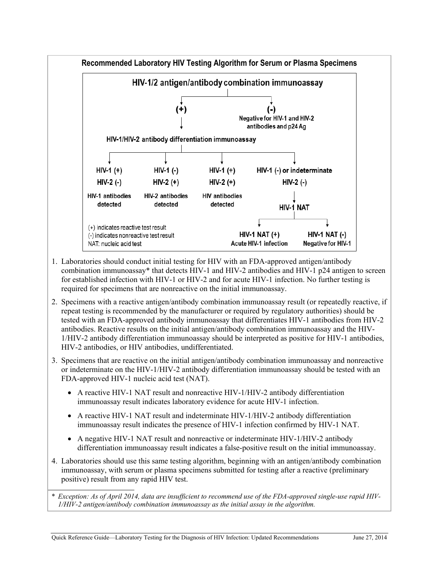

- 1. Laboratories should conduct initial testing for HIV with an FDA-approved antigen/antibody combination immunoassay\* that detects HIV-1 and HIV-2 antibodies and HIV-1 p24 antigen to screen for established infection with HIV-1 or HIV-2 and for acute HIV-1 infection. No further testing is required for specimens that are nonreactive on the initial immunoassay.
- 2. Specimens with a reactive antigen/antibody combination immunoassay result (or repeatedly reactive, if repeat testing is recommended by the manufacturer or required by regulatory authorities) should be tested with an FDA-approved antibody immunoassay that differentiates HIV-1 antibodies from HIV-2 antibodies. Reactive results on the initial antigen/antibody combination immunoassay and the HIV-1/HIV-2 antibody differentiation immunoassay should be interpreted as positive for HIV-1 antibodies, HIV-2 antibodies, or HIV antibodies, undifferentiated.
- 3. Specimens that are reactive on the initial antigen/antibody combination immunoassay and nonreactive or indeterminate on the HIV-1/HIV-2 antibody differentiation immunoassay should be tested with an FDA-approved HIV-1 nucleic acid test (NAT).
	- A reactive HIV-1 NAT result and nonreactive HIV-1/HIV-2 antibody differentiation immunoassay result indicates laboratory evidence for acute HIV-1 infection.
	- A reactive HIV-1 NAT result and indeterminate HIV-1/HIV-2 antibody differentiation immunoassay result indicates the presence of HIV-1 infection confirmed by HIV-1 NAT.
	- A negative HIV-1 NAT result and nonreactive or indeterminate HIV-1/HIV-2 antibody differentiation immunoassay result indicates a false-positive result on the initial immunoassay.
- 4. Laboratories should use this same testing algorithm, beginning with an antigen/antibody combination immunoassay, with serum or plasma specimens submitted for testing after a reactive (preliminary positive) result from any rapid HIV test.

\* *Exception: As of April 2014, data are insufficient to recommend use of the FDA-approved single-use rapid HIV-1/HIV-2 antigen/antibody combination immunoassay as the initial assay in the algorithm.*